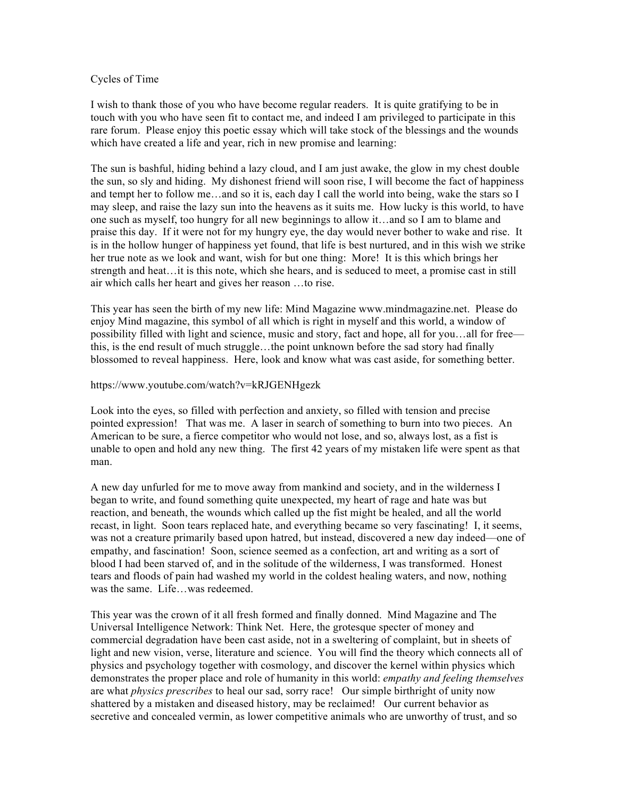## Cycles of Time

I wish to thank those of you who have become regular readers. It is quite gratifying to be in touch with you who have seen fit to contact me, and indeed I am privileged to participate in this rare forum. Please enjoy this poetic essay which will take stock of the blessings and the wounds which have created a life and year, rich in new promise and learning:

The sun is bashful, hiding behind a lazy cloud, and I am just awake, the glow in my chest double the sun, so sly and hiding. My dishonest friend will soon rise, I will become the fact of happiness and tempt her to follow me…and so it is, each day I call the world into being, wake the stars so I may sleep, and raise the lazy sun into the heavens as it suits me. How lucky is this world, to have one such as myself, too hungry for all new beginnings to allow it…and so I am to blame and praise this day. If it were not for my hungry eye, the day would never bother to wake and rise. It is in the hollow hunger of happiness yet found, that life is best nurtured, and in this wish we strike her true note as we look and want, wish for but one thing: More! It is this which brings her strength and heat…it is this note, which she hears, and is seduced to meet, a promise cast in still air which calls her heart and gives her reason …to rise.

This year has seen the birth of my new life: Mind Magazine www.mindmagazine.net. Please do enjoy Mind magazine, this symbol of all which is right in myself and this world, a window of possibility filled with light and science, music and story, fact and hope, all for you…all for free–– this, is the end result of much struggle…the point unknown before the sad story had finally blossomed to reveal happiness. Here, look and know what was cast aside, for something better.

## https://www.youtube.com/watch?v=kRJGENHgezk

Look into the eyes, so filled with perfection and anxiety, so filled with tension and precise pointed expression! That was me. A laser in search of something to burn into two pieces. An American to be sure, a fierce competitor who would not lose, and so, always lost, as a fist is unable to open and hold any new thing. The first 42 years of my mistaken life were spent as that man.

A new day unfurled for me to move away from mankind and society, and in the wilderness I began to write, and found something quite unexpected, my heart of rage and hate was but reaction, and beneath, the wounds which called up the fist might be healed, and all the world recast, in light. Soon tears replaced hate, and everything became so very fascinating! I, it seems, was not a creature primarily based upon hatred, but instead, discovered a new day indeed––one of empathy, and fascination! Soon, science seemed as a confection, art and writing as a sort of blood I had been starved of, and in the solitude of the wilderness, I was transformed. Honest tears and floods of pain had washed my world in the coldest healing waters, and now, nothing was the same. Life…was redeemed.

This year was the crown of it all fresh formed and finally donned. Mind Magazine and The Universal Intelligence Network: Think Net. Here, the grotesque specter of money and commercial degradation have been cast aside, not in a sweltering of complaint, but in sheets of light and new vision, verse, literature and science. You will find the theory which connects all of physics and psychology together with cosmology, and discover the kernel within physics which demonstrates the proper place and role of humanity in this world: *empathy and feeling themselves* are what *physics prescribes* to heal our sad, sorry race! Our simple birthright of unity now shattered by a mistaken and diseased history, may be reclaimed! Our current behavior as secretive and concealed vermin, as lower competitive animals who are unworthy of trust, and so